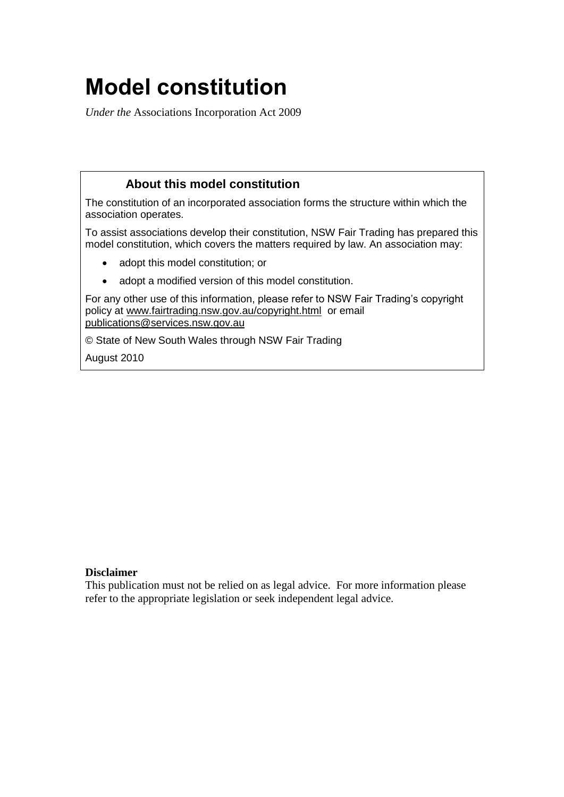# <span id="page-0-0"></span>**Model constitution**

*Under the* Associations Incorporation Act 2009

# **About this model constitution**

The constitution of an incorporated association forms the structure within which the association operates.

To assist associations develop their constitution, NSW Fair Trading has prepared this model constitution, which covers the matters required by law. An association may:

- adopt this model constitution; or
- adopt a modified version of this model constitution.

For any other use of this information, please refer to NSW Fair Trading's copyright policy at [www.fairtrading.nsw.gov.au/copyright.html](http://www.fairtrading.nsw.gov.au/copyright.html) or email [publications@services.nsw.gov.au](mailto:publications@services.nsw.gov.au)

© State of New South Wales through NSW Fair Trading

August 2010

## **Disclaimer**

This publication must not be relied on as legal advice. For more information please refer to the appropriate legislation or seek independent legal advice.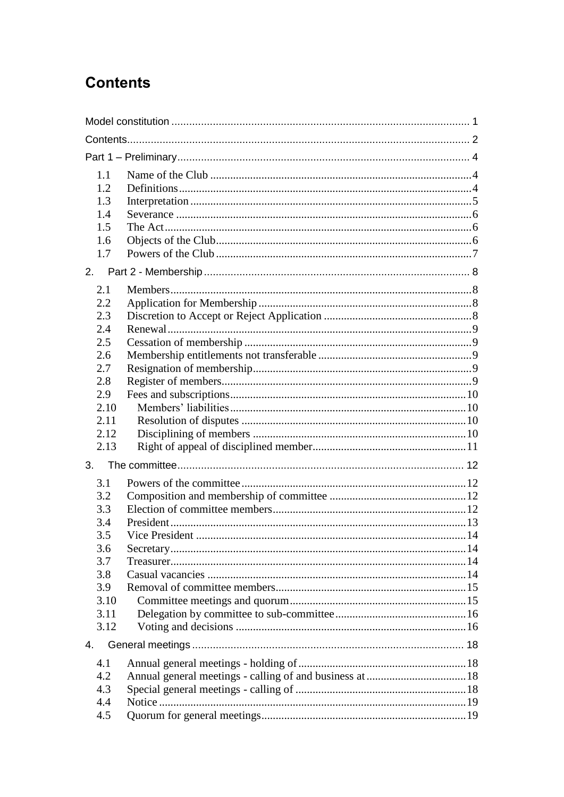# <span id="page-1-0"></span>**Contents**

| 1.1<br>1.2<br>1.3<br>1.4<br>1.5<br>1.6<br>1.7                                               |  |  |  |
|---------------------------------------------------------------------------------------------|--|--|--|
| 2.                                                                                          |  |  |  |
| 2.1<br>2.2<br>2.3<br>2.4<br>2.5<br>2.6<br>2.7<br>2.8<br>2.9<br>2.10<br>2.11<br>2.12<br>2.13 |  |  |  |
| 3.                                                                                          |  |  |  |
| 3.1<br>3.2<br>3.3<br>3.4<br>3.5<br>3.6<br>3.7<br>3.8<br>3.9<br>3.10<br>3.11<br>3.12         |  |  |  |
| 4.                                                                                          |  |  |  |
| 4.1<br>4.2<br>4.3<br>4.4<br>4.5                                                             |  |  |  |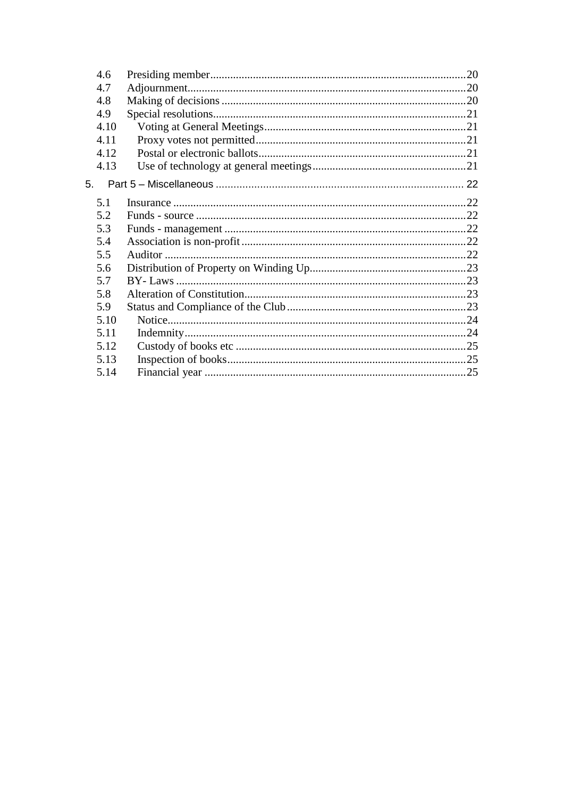| 4.6  |  |
|------|--|
| 4.7  |  |
| 4.8  |  |
| 4.9  |  |
| 4.10 |  |
| 4.11 |  |
| 4.12 |  |
| 4.13 |  |
| 5.   |  |
| 5.1  |  |
| 5.2  |  |
| 5.3  |  |
| 5.4  |  |
| 5.5  |  |
| 5.6  |  |
| 5.7  |  |
| 5.8  |  |
| 5.9  |  |
| 5.10 |  |
| 5.11 |  |
| 5.12 |  |
| 5.13 |  |
| 5.14 |  |
|      |  |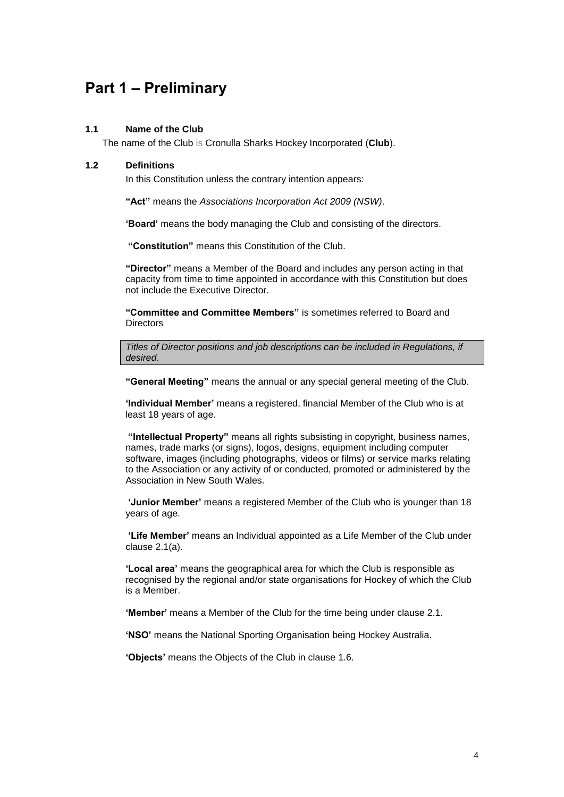# <span id="page-3-0"></span>**Part 1 – Preliminary**

#### <span id="page-3-1"></span>**1.1 Name of the Club**

The name of the Club is Cronulla Sharks Hockey Incorporated (**Club**).

#### <span id="page-3-2"></span>**1.2 Definitions**

In this Constitution unless the contrary intention appears:

**"Act"** means the *Associations Incorporation Act 2009 (NSW)*.

**'Board'** means the body managing the Club and consisting of the directors.

**"Constitution"** means this Constitution of the Club.

**"Director"** means a Member of the Board and includes any person acting in that capacity from time to time appointed in accordance with this Constitution but does not include the Executive Director.

**"Committee and Committee Members"** is sometimes referred to Board and **Directors** 

*Titles of Director positions and job descriptions can be included in Regulations, if desired.*

**"General Meeting"** means the annual or any special general meeting of the Club.

**'Individual Member'** means a registered, financial Member of the Club who is at least 18 years of age.

**"Intellectual Property"** means all rights subsisting in copyright, business names, names, trade marks (or signs), logos, designs, equipment including computer software, images (including photographs, videos or films) or service marks relating to the Association or any activity of or conducted, promoted or administered by the Association in New South Wales.

**'Junior Member'** means a registered Member of the Club who is younger than 18 years of age.

**'Life Member'** means an Individual appointed as a Life Member of the Club under clause [2.1\(a\).](#page-7-4)

**'Local area'** means the geographical area for which the Club is responsible as recognised by the regional and/or state organisations for Hockey of which the Club is a Member.

**'Member'** means a Member of the Club for the time being under clause [2.1.](#page-7-1)

**'NSO'** means the National Sporting Organisation being Hockey Australia.

**'Objects'** means the Objects of the Club in clause [1.6.](#page-5-2)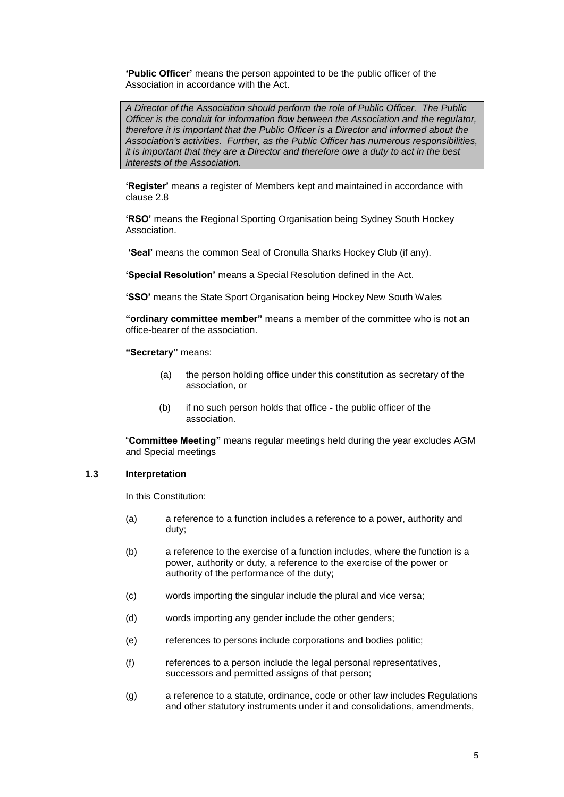**'Public Officer'** means the person appointed to be the public officer of the Association in accordance with the Act.

*A Director of the Association should perform the role of Public Officer. The Public Officer is the conduit for information flow between the Association and the regulator, therefore it is important that the Public Officer is a Director and informed about the Association's activities. Further, as the Public Officer has numerous responsibilities, it is important that they are a Director and therefore owe a duty to act in the best interests of the Association.*

**'Register'** means a register of Members kept and maintained in accordance with clause [2.8](#page-8-4)

**'RSO'** means the Regional Sporting Organisation being Sydney South Hockey Association.

**'Seal'** means the common Seal of Cronulla Sharks Hockey Club (if any).

**'Special Resolution'** means a Special Resolution defined in the Act.

**'SSO'** means the State Sport Organisation being Hockey New South Wales

**"ordinary committee member"** means a member of the committee who is not an office-bearer of the association.

**"Secretary"** means:

- (a) the person holding office under this constitution as secretary of the association, or
- (b) if no such person holds that office the public officer of the association.

"**Committee Meeting"** means regular meetings held during the year excludes AGM and Special meetings

#### <span id="page-4-0"></span>**1.3 Interpretation**

In this Constitution:

- (a) a reference to a function includes a reference to a power, authority and duty;
- (b) a reference to the exercise of a function includes, where the function is a power, authority or duty, a reference to the exercise of the power or authority of the performance of the duty;
- (c) words importing the singular include the plural and vice versa;
- (d) words importing any gender include the other genders;
- (e) references to persons include corporations and bodies politic;
- (f) references to a person include the legal personal representatives, successors and permitted assigns of that person:
- (g) a reference to a statute, ordinance, code or other law includes Regulations and other statutory instruments under it and consolidations, amendments,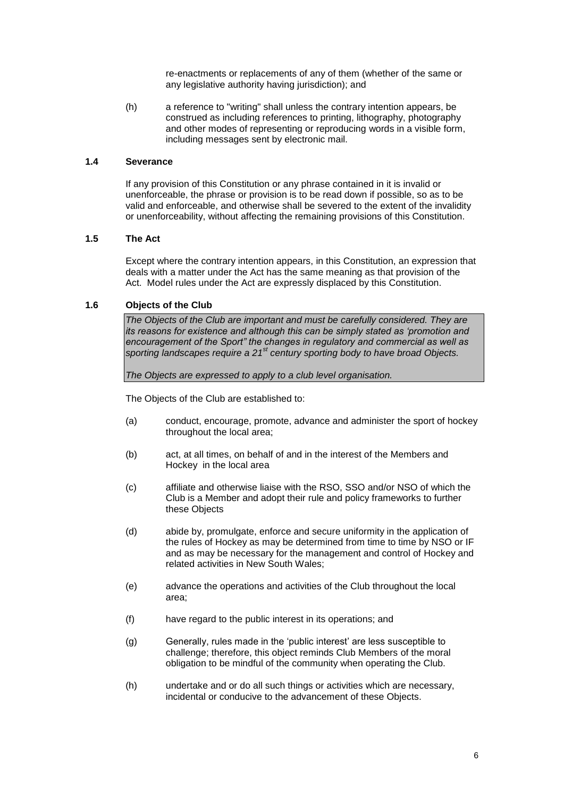re-enactments or replacements of any of them (whether of the same or any legislative authority having jurisdiction); and

(h) a reference to "writing" shall unless the contrary intention appears, be construed as including references to printing, lithography, photography and other modes of representing or reproducing words in a visible form, including messages sent by electronic mail.

#### <span id="page-5-0"></span>**1.4 Severance**

If any provision of this Constitution or any phrase contained in it is invalid or unenforceable, the phrase or provision is to be read down if possible, so as to be valid and enforceable, and otherwise shall be severed to the extent of the invalidity or unenforceability, without affecting the remaining provisions of this Constitution.

#### <span id="page-5-1"></span>**1.5 The Act**

Except where the contrary intention appears, in this Constitution, an expression that deals with a matter under the Act has the same meaning as that provision of the Act. Model rules under the Act are expressly displaced by this Constitution.

#### <span id="page-5-2"></span>**1.6 Objects of the Club**

*The Objects of the Club are important and must be carefully considered. They are its reasons for existence and although this can be simply stated as 'promotion and encouragement of the Sport" the changes in regulatory and commercial as well as sporting landscapes require a 21st century sporting body to have broad Objects.*

*The Objects are expressed to apply to a club level organisation.*

The Objects of the Club are established to:

- (a) conduct, encourage, promote, advance and administer the sport of hockey throughout the local area;
- (b) act, at all times, on behalf of and in the interest of the Members and Hockey in the local area
- (c) affiliate and otherwise liaise with the RSO, SSO and/or NSO of which the Club is a Member and adopt their rule and policy frameworks to further these Objects
- (d) abide by, promulgate, enforce and secure uniformity in the application of the rules of Hockey as may be determined from time to time by NSO or IF and as may be necessary for the management and control of Hockey and related activities in New South Wales;
- (e) advance the operations and activities of the Club throughout the local area;
- (f) have regard to the public interest in its operations; and
- (g) Generally, rules made in the 'public interest' are less susceptible to challenge; therefore, this object reminds Club Members of the moral obligation to be mindful of the community when operating the Club.
- (h) undertake and or do all such things or activities which are necessary, incidental or conducive to the advancement of these Objects.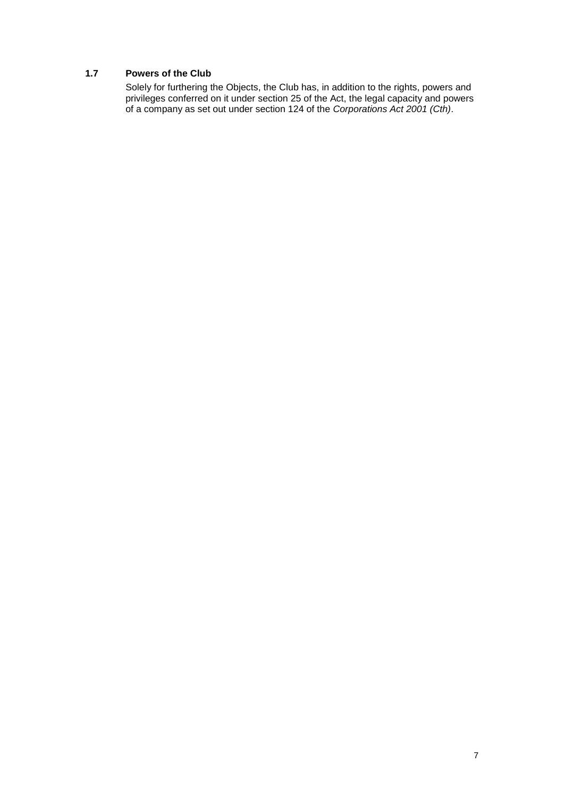### <span id="page-6-0"></span>**1.7 Powers of the Club**

Solely for furthering the Objects, the Club has, in addition to the rights, powers and privileges conferred on it under section 25 of the Act, the legal capacity and powers of a company as set out under section 124 of the *Corporations Act 2001 (Cth)*.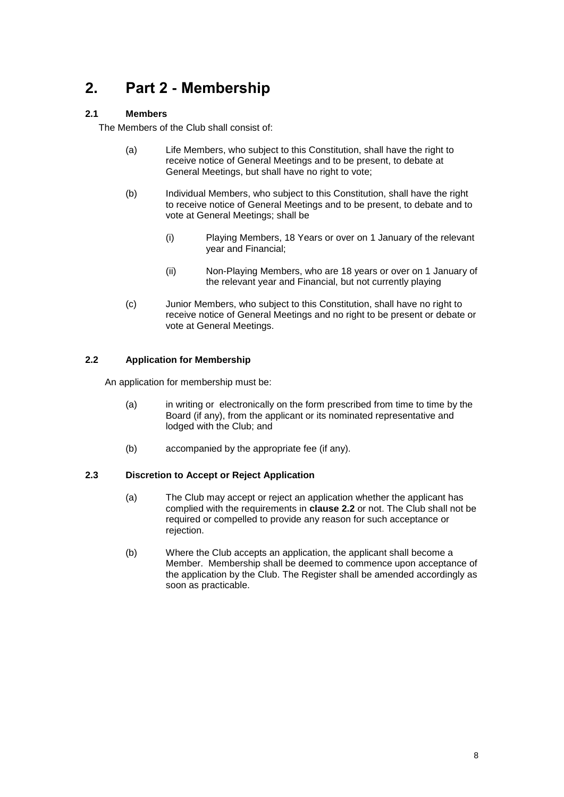# <span id="page-7-0"></span>**2. Part 2 - Membership**

# <span id="page-7-1"></span>**2.1 Members**

<span id="page-7-4"></span>The Members of the Club shall consist of:

- (a) Life Members, who subject to this Constitution, shall have the right to receive notice of General Meetings and to be present, to debate at General Meetings, but shall have no right to vote:
- (b) Individual Members, who subject to this Constitution, shall have the right to receive notice of General Meetings and to be present, to debate and to vote at General Meetings; shall be
	- (i) Playing Members, 18 Years or over on 1 January of the relevant year and Financial;
	- (ii) Non-Playing Members, who are 18 years or over on 1 January of the relevant year and Financial, but not currently playing
- (c) Junior Members, who subject to this Constitution, shall have no right to receive notice of General Meetings and no right to be present or debate or vote at General Meetings.

## <span id="page-7-2"></span>**2.2 Application for Membership**

An application for membership must be:

- (a) in writing or electronically on the form prescribed from time to time by the Board (if any), from the applicant or its nominated representative and lodged with the Club; and
- (b) accompanied by the appropriate fee (if any).

#### <span id="page-7-3"></span>**2.3 Discretion to Accept or Reject Application**

- (a) The Club may accept or reject an application whether the applicant has complied with the requirements in **clause [2.2](#page-7-2)** or not. The Club shall not be required or compelled to provide any reason for such acceptance or rejection.
- (b) Where the Club accepts an application, the applicant shall become a Member. Membership shall be deemed to commence upon acceptance of the application by the Club. The Register shall be amended accordingly as soon as practicable.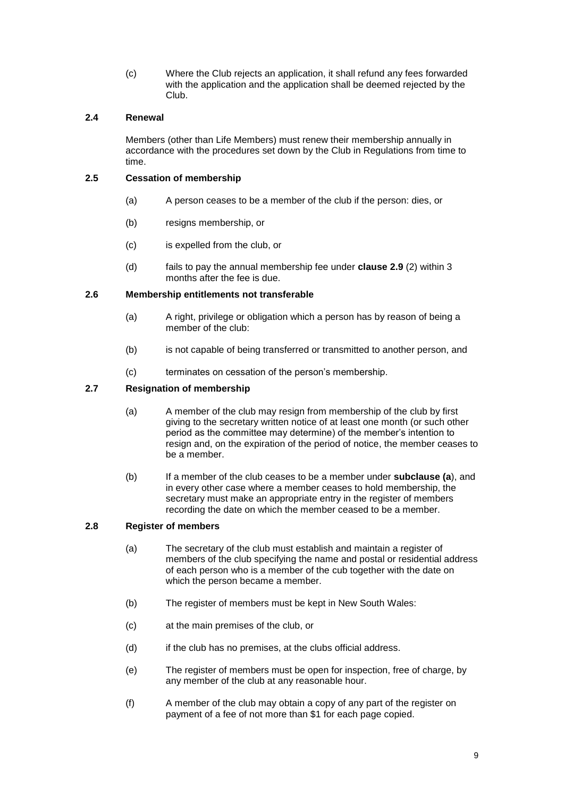(c) Where the Club rejects an application, it shall refund any fees forwarded with the application and the application shall be deemed rejected by the Club.

#### <span id="page-8-0"></span>**2.4 Renewal**

Members (other than Life Members) must renew their membership annually in accordance with the procedures set down by the Club in Regulations from time to time.

### <span id="page-8-1"></span>**2.5 Cessation of membership**

- (a) A person ceases to be a member of the club if the person: dies, or
- (b) resigns membership, or
- (c) is expelled from the club, or
- (d) fails to pay the annual membership fee under **clause [2.9](#page-9-0)** (2) within 3 months after the fee is due.

#### <span id="page-8-2"></span>**2.6 Membership entitlements not transferable**

- (a) A right, privilege or obligation which a person has by reason of being a member of the club:
- (b) is not capable of being transferred or transmitted to another person, and
- (c) terminates on cessation of the person's membership.

## <span id="page-8-3"></span>**2.7 Resignation of membership**

- (a) A member of the club may resign from membership of the club by first giving to the secretary written notice of at least one month (or such other period as the committee may determine) of the member's intention to resign and, on the expiration of the period of notice, the member ceases to be a member.
- (b) If a member of the club ceases to be a member under **subclause (a**), and in every other case where a member ceases to hold membership, the secretary must make an appropriate entry in the register of members recording the date on which the member ceased to be a member.

#### <span id="page-8-4"></span>**2.8 Register of members**

- (a) The secretary of the club must establish and maintain a register of members of the club specifying the name and postal or residential address of each person who is a member of the cub together with the date on which the person became a member.
- (b) The register of members must be kept in New South Wales:
- (c) at the main premises of the club, or
- (d) if the club has no premises, at the clubs official address.
- (e) The register of members must be open for inspection, free of charge, by any member of the club at any reasonable hour.
- (f) A member of the club may obtain a copy of any part of the register on payment of a fee of not more than \$1 for each page copied.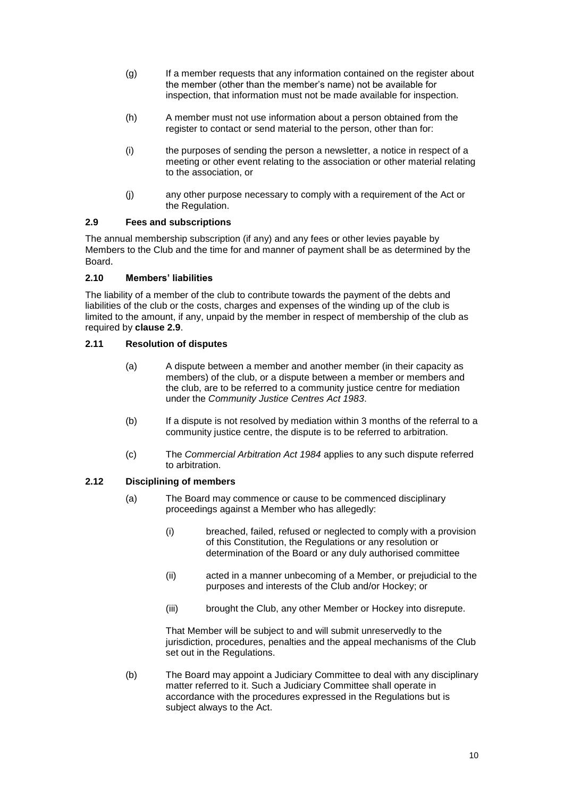- (g) If a member requests that any information contained on the register about the member (other than the member's name) not be available for inspection, that information must not be made available for inspection.
- (h) A member must not use information about a person obtained from the register to contact or send material to the person, other than for:
- (i) the purposes of sending the person a newsletter, a notice in respect of a meeting or other event relating to the association or other material relating to the association, or
- (j) any other purpose necessary to comply with a requirement of the Act or the Regulation.

#### <span id="page-9-0"></span>**2.9 Fees and subscriptions**

The annual membership subscription (if any) and any fees or other levies payable by Members to the Club and the time for and manner of payment shall be as determined by the Board.

#### <span id="page-9-1"></span>**2.10 Members' liabilities**

The liability of a member of the club to contribute towards the payment of the debts and liabilities of the club or the costs, charges and expenses of the winding up of the club is limited to the amount, if any, unpaid by the member in respect of membership of the club as required by **clause [2.9](#page-9-0)**.

#### <span id="page-9-2"></span>**2.11 Resolution of disputes**

- (a) A dispute between a member and another member (in their capacity as members) of the club, or a dispute between a member or members and the club, are to be referred to a community justice centre for mediation under the *[Community Justice Centres Act 1983](http://www.legislation.nsw.gov.au/xref/inforce/?xref=Type%3Dact%20AND%20Year%3D1983%20AND%20no%3D127&nohits=y)*.
- (b) If a dispute is not resolved by mediation within 3 months of the referral to a community justice centre, the dispute is to be referred to arbitration.
- (c) The *[Commercial Arbitration Act 1984](http://www.legislation.nsw.gov.au/xref/inforce/?xref=Type%3Dact%20AND%20Year%3D1984%20AND%20no%3D160&nohits=y)* applies to any such dispute referred to arbitration.

#### <span id="page-9-3"></span>**2.12 Disciplining of members**

- (a) The Board may commence or cause to be commenced disciplinary proceedings against a Member who has allegedly:
	- (i) breached, failed, refused or neglected to comply with a provision of this Constitution, the Regulations or any resolution or determination of the Board or any duly authorised committee
	- (ii) acted in a manner unbecoming of a Member, or prejudicial to the purposes and interests of the Club and/or Hockey; or
	- (iii) brought the Club, any other Member or Hockey into disrepute.

That Member will be subject to and will submit unreservedly to the jurisdiction, procedures, penalties and the appeal mechanisms of the Club set out in the Regulations.

(b) The Board may appoint a Judiciary Committee to deal with any disciplinary matter referred to it. Such a Judiciary Committee shall operate in accordance with the procedures expressed in the Regulations but is subject always to the Act.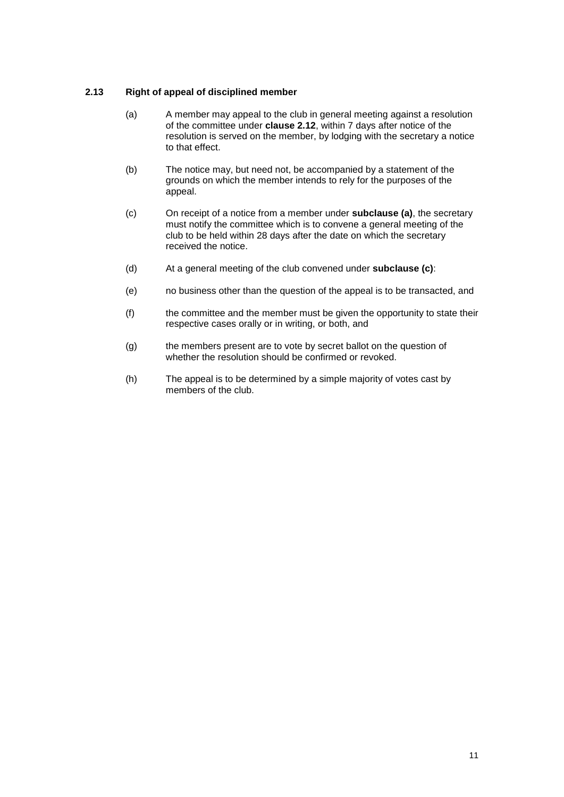#### <span id="page-10-1"></span><span id="page-10-0"></span>**2.13 Right of appeal of disciplined member**

- (a) A member may appeal to the club in general meeting against a resolution of the committee under **clause [2.12](#page-9-3)**, within 7 days after notice of the resolution is served on the member, by lodging with the secretary a notice to that effect.
- (b) The notice may, but need not, be accompanied by a statement of the grounds on which the member intends to rely for the purposes of the appeal.
- <span id="page-10-2"></span>(c) On receipt of a notice from a member under **subclause [\(a\)](#page-10-1)**, the secretary must notify the committee which is to convene a general meeting of the club to be held within 28 days after the date on which the secretary received the notice.
- (d) At a general meeting of the club convened under **subclause [\(c\)](#page-10-2)**:
- (e) no business other than the question of the appeal is to be transacted, and
- (f) the committee and the member must be given the opportunity to state their respective cases orally or in writing, or both, and
- (g) the members present are to vote by secret ballot on the question of whether the resolution should be confirmed or revoked.
- (h) The appeal is to be determined by a simple majority of votes cast by members of the club.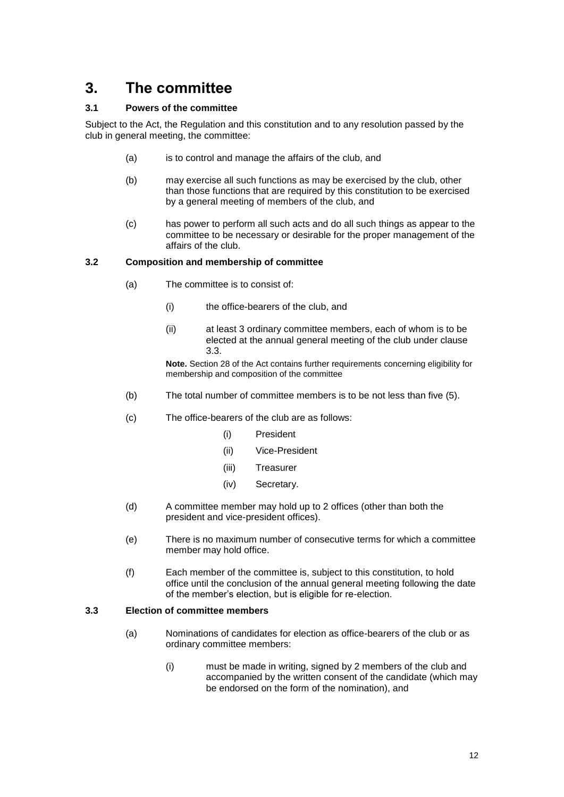# <span id="page-11-0"></span>**3. The committee**

#### <span id="page-11-1"></span>**3.1 Powers of the committee**

Subject to the Act, the Regulation and this constitution and to any resolution passed by the club in general meeting, the committee:

- (a) is to control and manage the affairs of the club, and
- (b) may exercise all such functions as may be exercised by the club, other than those functions that are required by this constitution to be exercised by a general meeting of members of the club, and
- (c) has power to perform all such acts and do all such things as appear to the committee to be necessary or desirable for the proper management of the affairs of the club.

#### <span id="page-11-2"></span>**3.2 Composition and membership of committee**

- (a) The committee is to consist of:
	- (i) the office-bearers of the club, and
	- (ii) at least 3 ordinary committee members, each of whom is to be elected at the annual general meeting of the club under clause [3.3.](#page-11-3)

**Note.** Section 28 of the Act contains further requirements concerning eligibility for membership and composition of the committee

- (b) The total number of committee members is to be not less than five (5).
- (c) The office-bearers of the club are as follows:
	- (i) President
	- (ii) Vice-President
	- (iii) Treasurer
	- (iv) Secretary.
- (d) A committee member may hold up to 2 offices (other than both the president and vice-president offices).
- (e) There is no maximum number of consecutive terms for which a committee member may hold office.
- (f) Each member of the committee is, subject to this constitution, to hold office until the conclusion of the annual general meeting following the date of the member's election, but is eligible for re-election.

#### <span id="page-11-3"></span>**3.3 Election of committee members**

- (a) Nominations of candidates for election as office-bearers of the club or as ordinary committee members:
	- (i) must be made in writing, signed by 2 members of the club and accompanied by the written consent of the candidate (which may be endorsed on the form of the nomination), and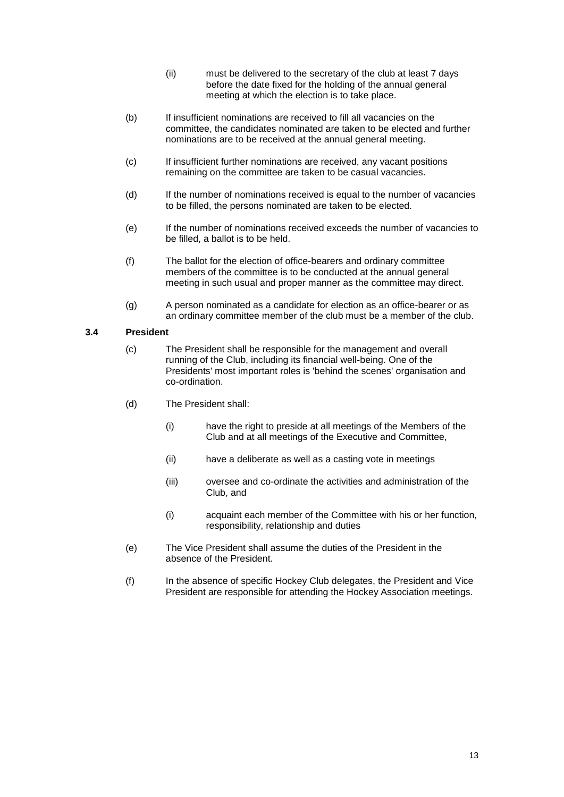- (ii) must be delivered to the secretary of the club at least 7 days before the date fixed for the holding of the annual general meeting at which the election is to take place.
- (b) If insufficient nominations are received to fill all vacancies on the committee, the candidates nominated are taken to be elected and further nominations are to be received at the annual general meeting.
- (c) If insufficient further nominations are received, any vacant positions remaining on the committee are taken to be casual vacancies.
- (d) If the number of nominations received is equal to the number of vacancies to be filled, the persons nominated are taken to be elected.
- (e) If the number of nominations received exceeds the number of vacancies to be filled, a ballot is to be held.
- (f) The ballot for the election of office-bearers and ordinary committee members of the committee is to be conducted at the annual general meeting in such usual and proper manner as the committee may direct.
- (g) A person nominated as a candidate for election as an office-bearer or as an ordinary committee member of the club must be a member of the club.

#### <span id="page-12-0"></span>**3.4 President**

- (c) The President shall be responsible for the management and overall running of the Club, including its financial well-being. One of the Presidents' most important roles is 'behind the scenes' organisation and co-ordination.
- (d) The President shall:
	- (i) have the right to preside at all meetings of the Members of the Club and at all meetings of the Executive and Committee,
	- (ii) have a deliberate as well as a casting vote in meetings
	- (iii) oversee and co-ordinate the activities and administration of the Club, and
	- (i) acquaint each member of the Committee with his or her function, responsibility, relationship and duties
- (e) The Vice President shall assume the duties of the President in the absence of the President.
- (f) In the absence of specific Hockey Club delegates, the President and Vice President are responsible for attending the Hockey Association meetings.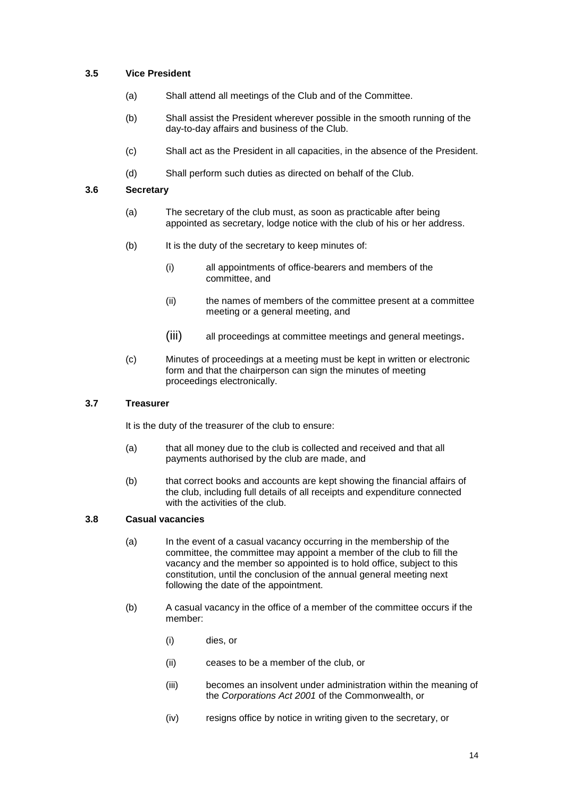#### <span id="page-13-0"></span>**3.5 Vice President**

- (a) Shall attend all meetings of the Club and of the Committee.
- (b) Shall assist the President wherever possible in the smooth running of the day-to-day affairs and business of the Club.
- (c) Shall act as the President in all capacities, in the absence of the President.
- (d) Shall perform such duties as directed on behalf of the Club.

#### <span id="page-13-1"></span>**3.6 Secretary**

- (a) The secretary of the club must, as soon as practicable after being appointed as secretary, lodge notice with the club of his or her address.
- (b) It is the duty of the secretary to keep minutes of:
	- (i) all appointments of office-bearers and members of the committee, and
	- (ii) the names of members of the committee present at a committee meeting or a general meeting, and
	- (iii) all proceedings at committee meetings and general meetings.
- (c) Minutes of proceedings at a meeting must be kept in written or electronic form and that the chairperson can sign the minutes of meeting proceedings electronically.

#### <span id="page-13-2"></span>**3.7 Treasurer**

It is the duty of the treasurer of the club to ensure:

- (a) that all money due to the club is collected and received and that all payments authorised by the club are made, and
- (b) that correct books and accounts are kept showing the financial affairs of the club, including full details of all receipts and expenditure connected with the activities of the club.

#### <span id="page-13-3"></span>**3.8 Casual vacancies**

- (a) In the event of a casual vacancy occurring in the membership of the committee, the committee may appoint a member of the club to fill the vacancy and the member so appointed is to hold office, subject to this constitution, until the conclusion of the annual general meeting next following the date of the appointment.
- (b) A casual vacancy in the office of a member of the committee occurs if the member:
	- (i) dies, or
	- (ii) ceases to be a member of the club, or
	- (iii) becomes an insolvent under administration within the meaning of the *[Corporations Act 2001](http://www.comlaw.gov.au/)* of the Commonwealth, or
	- (iv) resigns office by notice in writing given to the secretary, or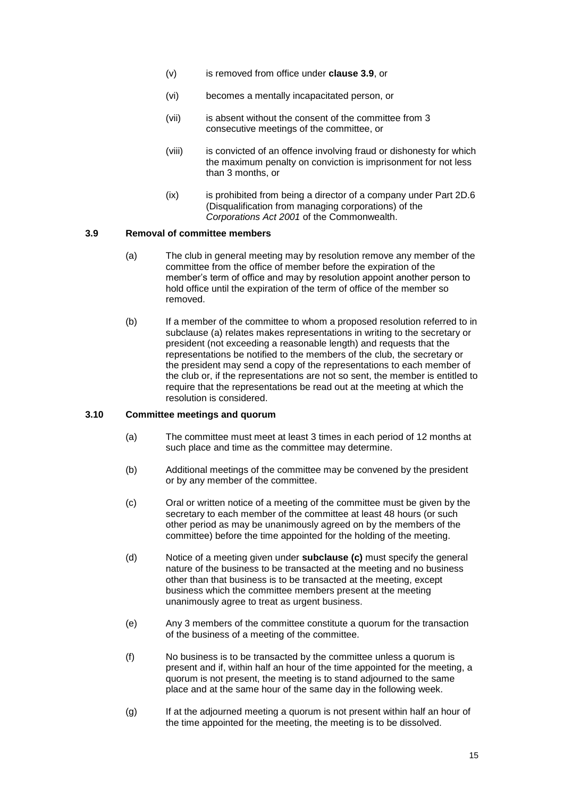- (v) is removed from office under **clause [3.9](#page-14-0)**, or
- (vi) becomes a mentally incapacitated person, or
- (vii) is absent without the consent of the committee from 3 consecutive meetings of the committee, or
- (viii) is convicted of an offence involving fraud or dishonesty for which the maximum penalty on conviction is imprisonment for not less than 3 months, or
- (ix) is prohibited from being a director of a company under Part 2D.6 (Disqualification from managing corporations) of the *[Corporations Act 2001](http://www.comlaw.gov.au/)* of the Commonwealth.

#### <span id="page-14-2"></span><span id="page-14-0"></span>**3.9 Removal of committee members**

- (a) The club in general meeting may by resolution remove any member of the committee from the office of member before the expiration of the member's term of office and may by resolution appoint another person to hold office until the expiration of the term of office of the member so removed.
- (b) If a member of the committee to whom a proposed resolution referred to in subclause [\(a\)](#page-14-2) relates makes representations in writing to the secretary or president (not exceeding a reasonable length) and requests that the representations be notified to the members of the club, the secretary or the president may send a copy of the representations to each member of the club or, if the representations are not so sent, the member is entitled to require that the representations be read out at the meeting at which the resolution is considered.

#### <span id="page-14-1"></span>**3.10 Committee meetings and quorum**

- (a) The committee must meet at least 3 times in each period of 12 months at such place and time as the committee may determine.
- (b) Additional meetings of the committee may be convened by the president or by any member of the committee.
- <span id="page-14-3"></span>(c) Oral or written notice of a meeting of the committee must be given by the secretary to each member of the committee at least 48 hours (or such other period as may be unanimously agreed on by the members of the committee) before the time appointed for the holding of the meeting.
- (d) Notice of a meeting given under **subclause [\(c\)](#page-14-3)** must specify the general nature of the business to be transacted at the meeting and no business other than that business is to be transacted at the meeting, except business which the committee members present at the meeting unanimously agree to treat as urgent business.
- <span id="page-14-4"></span>(e) Any 3 members of the committee constitute a quorum for the transaction of the business of a meeting of the committee.
- (f) No business is to be transacted by the committee unless a quorum is present and if, within half an hour of the time appointed for the meeting, a quorum is not present, the meeting is to stand adjourned to the same place and at the same hour of the same day in the following week.
- (g) If at the adjourned meeting a quorum is not present within half an hour of the time appointed for the meeting, the meeting is to be dissolved.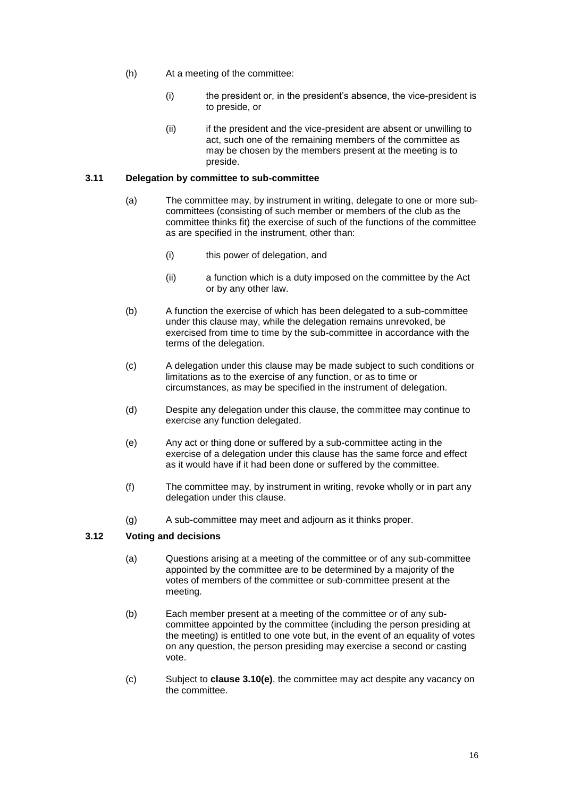- (h) At a meeting of the committee:
	- (i) the president or, in the president's absence, the vice-president is to preside, or
	- (ii) if the president and the vice-president are absent or unwilling to act, such one of the remaining members of the committee as may be chosen by the members present at the meeting is to preside.

#### <span id="page-15-0"></span>**3.11 Delegation by committee to sub-committee**

- (a) The committee may, by instrument in writing, delegate to one or more subcommittees (consisting of such member or members of the club as the committee thinks fit) the exercise of such of the functions of the committee as are specified in the instrument, other than:
	- (i) this power of delegation, and
	- (ii) a function which is a duty imposed on the committee by the Act or by any other law.
- (b) A function the exercise of which has been delegated to a sub-committee under this clause may, while the delegation remains unrevoked, be exercised from time to time by the sub-committee in accordance with the terms of the delegation.
- (c) A delegation under this clause may be made subject to such conditions or limitations as to the exercise of any function, or as to time or circumstances, as may be specified in the instrument of delegation.
- (d) Despite any delegation under this clause, the committee may continue to exercise any function delegated.
- (e) Any act or thing done or suffered by a sub-committee acting in the exercise of a delegation under this clause has the same force and effect as it would have if it had been done or suffered by the committee.
- (f) The committee may, by instrument in writing, revoke wholly or in part any delegation under this clause.
- (g) A sub-committee may meet and adjourn as it thinks proper.

#### <span id="page-15-1"></span>**3.12 Voting and decisions**

- (a) Questions arising at a meeting of the committee or of any sub-committee appointed by the committee are to be determined by a majority of the votes of members of the committee or sub-committee present at the meeting.
- (b) Each member present at a meeting of the committee or of any subcommittee appointed by the committee (including the person presiding at the meeting) is entitled to one vote but, in the event of an equality of votes on any question, the person presiding may exercise a second or casting vote.
- (c) Subject to **clause [3.10\(e\)](#page-14-4)**, the committee may act despite any vacancy on the committee.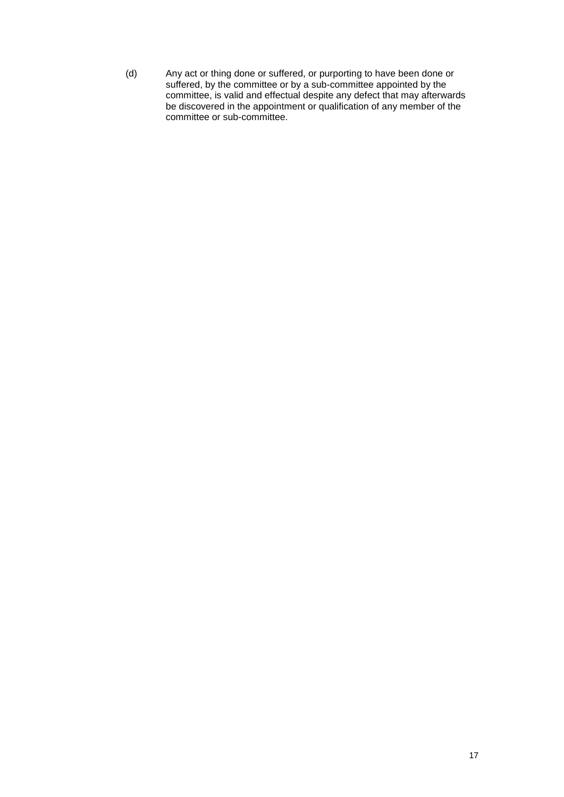(d) Any act or thing done or suffered, or purporting to have been done or suffered, by the committee or by a sub-committee appointed by the committee, is valid and effectual despite any defect that may afterwards be discovered in the appointment or qualification of any member of the committee or sub-committee.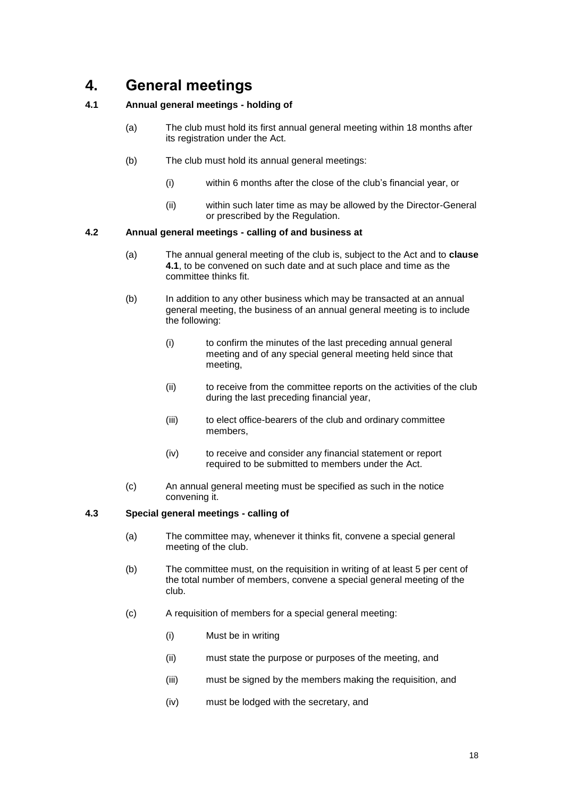# <span id="page-17-0"></span>**4. General meetings**

#### <span id="page-17-1"></span>**4.1 Annual general meetings - holding of**

- (a) The club must hold its first annual general meeting within 18 months after its registration under the Act.
- (b) The club must hold its annual general meetings:
	- (i) within 6 months after the close of the club's financial year, or
	- (ii) within such later time as may be allowed by the Director-General or prescribed by the Regulation.

#### <span id="page-17-2"></span>**4.2 Annual general meetings - calling of and business at**

- (a) The annual general meeting of the club is, subject to the Act and to **clause [4.1](#page-17-1)**, to be convened on such date and at such place and time as the committee thinks fit.
- <span id="page-17-4"></span>(b) In addition to any other business which may be transacted at an annual general meeting, the business of an annual general meeting is to include the following:
	- (i) to confirm the minutes of the last preceding annual general meeting and of any special general meeting held since that meeting,
	- (ii) to receive from the committee reports on the activities of the club during the last preceding financial year,
	- (iii) to elect office-bearers of the club and ordinary committee members,
	- (iv) to receive and consider any financial statement or report required to be submitted to members under the Act.
- (c) An annual general meeting must be specified as such in the notice convening it.

#### <span id="page-17-3"></span>**4.3 Special general meetings - calling of**

- (a) The committee may, whenever it thinks fit, convene a special general meeting of the club.
- (b) The committee must, on the requisition in writing of at least 5 per cent of the total number of members, convene a special general meeting of the club.
- (c) A requisition of members for a special general meeting:
	- (i) Must be in writing
	- (ii) must state the purpose or purposes of the meeting, and
	- (iii) must be signed by the members making the requisition, and
	- (iv) must be lodged with the secretary, and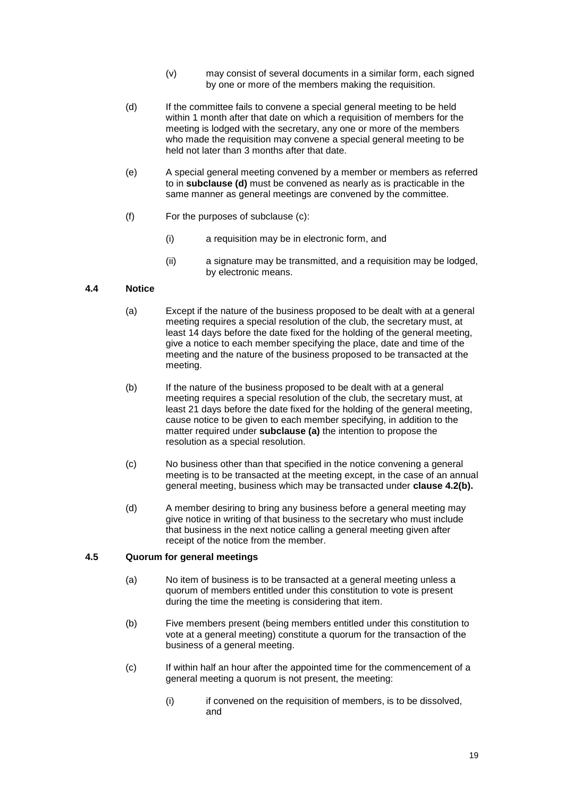- (v) may consist of several documents in a similar form, each signed by one or more of the members making the requisition.
- <span id="page-18-2"></span>(d) If the committee fails to convene a special general meeting to be held within 1 month after that date on which a requisition of members for the meeting is lodged with the secretary, any one or more of the members who made the requisition may convene a special general meeting to be held not later than 3 months after that date.
- (e) A special general meeting convened by a member or members as referred to in **subclause [\(d\)](#page-18-2)** must be convened as nearly as is practicable in the same manner as general meetings are convened by the committee.
- (f) For the purposes of subclause (c):
	- (i) a requisition may be in electronic form, and
	- (ii) a signature may be transmitted, and a requisition may be lodged, by electronic means.

#### <span id="page-18-3"></span><span id="page-18-0"></span>**4.4 Notice**

- (a) Except if the nature of the business proposed to be dealt with at a general meeting requires a special resolution of the club, the secretary must, at least 14 days before the date fixed for the holding of the general meeting, give a notice to each member specifying the place, date and time of the meeting and the nature of the business proposed to be transacted at the meeting.
- (b) If the nature of the business proposed to be dealt with at a general meeting requires a special resolution of the club, the secretary must, at least 21 days before the date fixed for the holding of the general meeting, cause notice to be given to each member specifying, in addition to the matter required under **subclause [\(a\)](#page-18-3)** the intention to propose the resolution as a special resolution.
- (c) No business other than that specified in the notice convening a general meeting is to be transacted at the meeting except, in the case of an annual general meeting, business which may be transacted under **clause [4.2\(b\).](#page-17-4)**
- (d) A member desiring to bring any business before a general meeting may give notice in writing of that business to the secretary who must include that business in the next notice calling a general meeting given after receipt of the notice from the member.

#### <span id="page-18-1"></span>**4.5 Quorum for general meetings**

- (a) No item of business is to be transacted at a general meeting unless a quorum of members entitled under this constitution to vote is present during the time the meeting is considering that item.
- (b) Five members present (being members entitled under this constitution to vote at a general meeting) constitute a quorum for the transaction of the business of a general meeting.
- (c) If within half an hour after the appointed time for the commencement of a general meeting a quorum is not present, the meeting:
	- (i) if convened on the requisition of members, is to be dissolved, and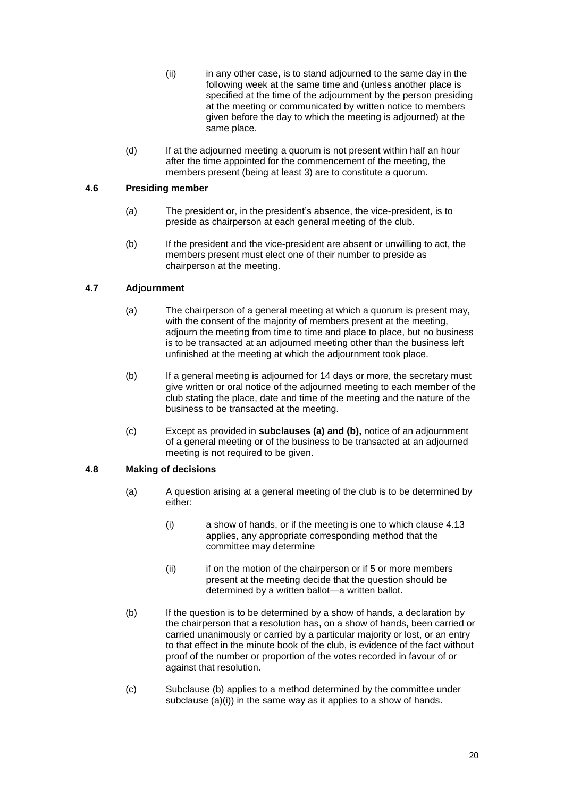- (ii) in any other case, is to stand adjourned to the same day in the following week at the same time and (unless another place is specified at the time of the adjournment by the person presiding at the meeting or communicated by written notice to members given before the day to which the meeting is adjourned) at the same place.
- (d) If at the adjourned meeting a quorum is not present within half an hour after the time appointed for the commencement of the meeting, the members present (being at least 3) are to constitute a quorum.

#### <span id="page-19-0"></span>**4.6 Presiding member**

- (a) The president or, in the president's absence, the vice-president, is to preside as chairperson at each general meeting of the club.
- (b) If the president and the vice-president are absent or unwilling to act, the members present must elect one of their number to preside as chairperson at the meeting.

# <span id="page-19-3"></span><span id="page-19-1"></span>**4.7 Adjournment**

- (a) The chairperson of a general meeting at which a quorum is present may, with the consent of the majority of members present at the meeting, adjourn the meeting from time to time and place to place, but no business is to be transacted at an adjourned meeting other than the business left unfinished at the meeting at which the adjournment took place.
- <span id="page-19-4"></span>(b) If a general meeting is adjourned for 14 days or more, the secretary must give written or oral notice of the adjourned meeting to each member of the club stating the place, date and time of the meeting and the nature of the business to be transacted at the meeting.
- (c) Except as provided in **subclauses [\(a\)](#page-19-3) and [\(b\),](#page-19-4)** notice of an adjournment of a general meeting or of the business to be transacted at an adjourned meeting is not required to be given.

#### <span id="page-19-6"></span><span id="page-19-2"></span>**4.8 Making of decisions**

- (a) A question arising at a general meeting of the club is to be determined by either:
	- (i) a show of hands, or if the meeting is one to which clause [4.13](#page-20-4) applies, any appropriate corresponding method that the committee may determine
	- (ii) if on the motion of the chairperson or if 5 or more members present at the meeting decide that the question should be determined by a written ballot—a written ballot.
- <span id="page-19-5"></span>(b) If the question is to be determined by a show of hands, a declaration by the chairperson that a resolution has, on a show of hands, been carried or carried unanimously or carried by a particular majority or lost, or an entry to that effect in the minute book of the club, is evidence of the fact without proof of the number or proportion of the votes recorded in favour of or against that resolution.
- (c) Subclause [\(b\)](#page-19-5) applies to a method determined by the committee under subclause  $(a)(i)$  in the same way as it applies to a show of hands.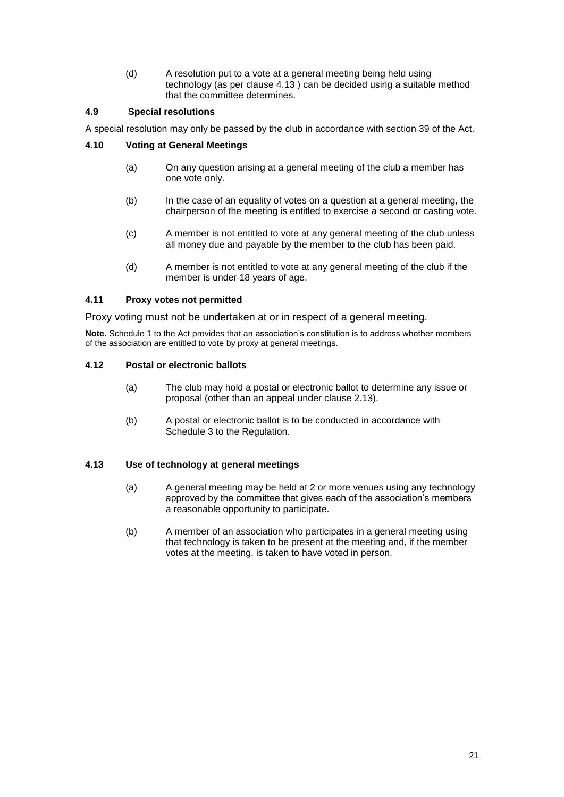<span id="page-20-0"></span>(d) A resolution put to a vote at a general meeting being held using technology (as per clause [4.13](#page-20-4) ) can be decided using a suitable method that the committee determines.

#### **4.9 Special resolutions**

A special resolution may only be passed by the club in accordance with section 39 of the Act.

#### <span id="page-20-1"></span>**4.10 Voting at General Meetings**

- (a) On any question arising at a general meeting of the club a member has one vote only.
- (b) In the case of an equality of votes on a question at a general meeting, the chairperson of the meeting is entitled to exercise a second or casting vote.
- (c) A member is not entitled to vote at any general meeting of the club unless all money due and payable by the member to the club has been paid.
- (d) A member is not entitled to vote at any general meeting of the club if the member is under 18 years of age.

#### <span id="page-20-2"></span>**4.11 Proxy votes not permitted**

Proxy voting must not be undertaken at or in respect of a general meeting.

**Note.** Schedule 1 to the Act provides that an association's constitution is to address whether members of the association are entitled to vote by proxy at general meetings.

#### <span id="page-20-3"></span>**4.12 Postal or electronic ballots**

- (a) The club may hold a postal or electronic ballot to determine any issue or proposal (other than an appeal under clause [2.13\)](#page-10-0).
- (b) A postal or electronic ballot is to be conducted in accordance with Schedule 3 to the Regulation.

#### <span id="page-20-4"></span>**4.13 Use of technology at general meetings**

- (a) A general meeting may be held at 2 or more venues using any technology approved by the committee that gives each of the association's members a reasonable opportunity to participate.
- (b) A member of an association who participates in a general meeting using that technology is taken to be present at the meeting and, if the member votes at the meeting, is taken to have voted in person.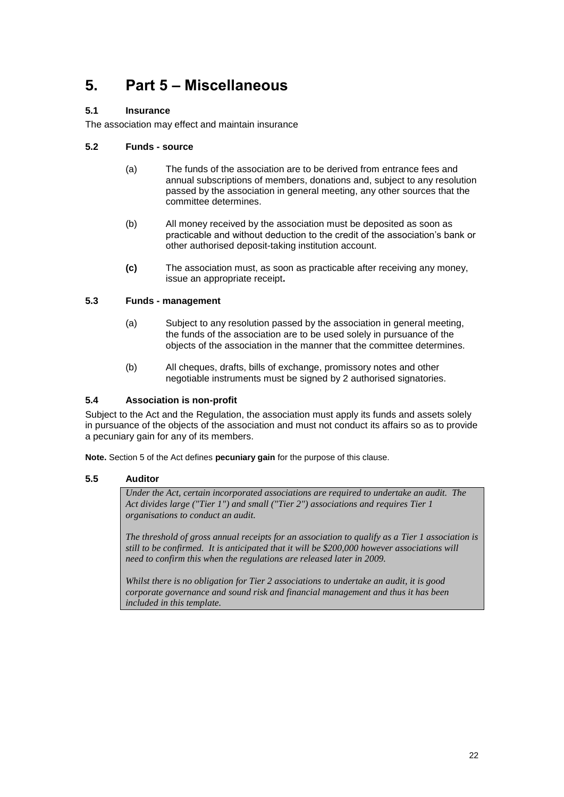# <span id="page-21-0"></span>**5. Part 5 – Miscellaneous**

## <span id="page-21-1"></span>**5.1 Insurance**

The association may effect and maintain insurance

#### <span id="page-21-2"></span>**5.2 Funds - source**

- (a) The funds of the association are to be derived from entrance fees and annual subscriptions of members, donations and, subject to any resolution passed by the association in general meeting, any other sources that the committee determines.
- (b) All money received by the association must be deposited as soon as practicable and without deduction to the credit of the association's bank or other authorised deposit-taking institution account.
- **(c)** The association must, as soon as practicable after receiving any money, issue an appropriate receipt**.**

#### <span id="page-21-3"></span>**5.3 Funds - management**

- (a) Subject to any resolution passed by the association in general meeting, the funds of the association are to be used solely in pursuance of the objects of the association in the manner that the committee determines.
- (b) All cheques, drafts, bills of exchange, promissory notes and other negotiable instruments must be signed by 2 authorised signatories.

#### <span id="page-21-4"></span>**5.4 Association is non-profit**

Subject to the Act and the Regulation, the association must apply its funds and assets solely in pursuance of the objects of the association and must not conduct its affairs so as to provide a pecuniary gain for any of its members.

<span id="page-21-5"></span>**Note.** Section 5 of the Act defines **pecuniary gain** for the purpose of this clause.

#### **5.5 Auditor**

*Under the Act, certain incorporated associations are required to undertake an audit. The Act divides large ("Tier 1") and small ("Tier 2") associations and requires Tier 1 organisations to conduct an audit.*

*The threshold of gross annual receipts for an association to qualify as a Tier 1 association is still to be confirmed. It is anticipated that it will be \$200,000 however associations will need to confirm this when the regulations are released later in 2009.*

*Whilst there is no obligation for Tier 2 associations to undertake an audit, it is good corporate governance and sound risk and financial management and thus it has been included in this template.*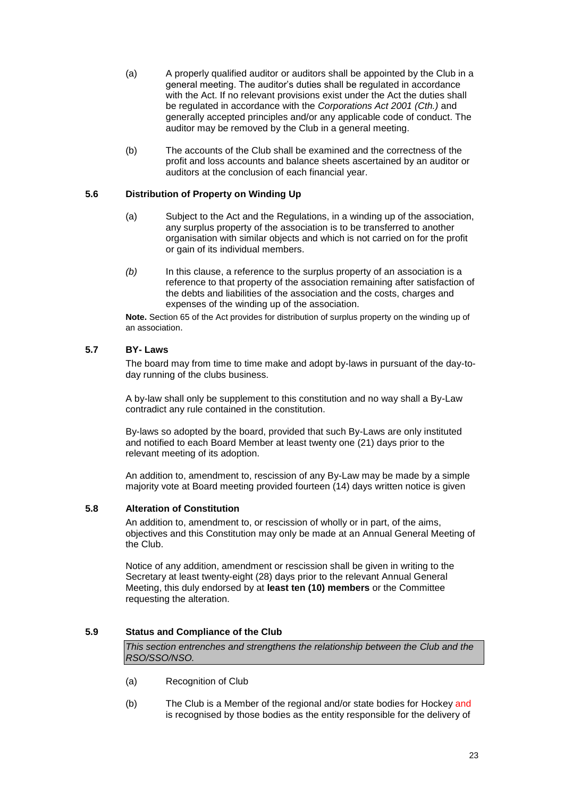- (a) A properly qualified auditor or auditors shall be appointed by the Club in a general meeting. The auditor's duties shall be regulated in accordance with the Act. If no relevant provisions exist under the Act the duties shall be regulated in accordance with the *Corporations Act 2001 (Cth.)* and generally accepted principles and/or any applicable code of conduct. The auditor may be removed by the Club in a general meeting.
- (b) The accounts of the Club shall be examined and the correctness of the profit and loss accounts and balance sheets ascertained by an auditor or auditors at the conclusion of each financial year.

#### <span id="page-22-0"></span>**5.6 Distribution of Property on Winding Up**

- (a) Subject to the Act and the Regulations, in a winding up of the association, any surplus property of the association is to be transferred to another organisation with similar objects and which is not carried on for the profit or gain of its individual members.
- *(b)* In this clause, a reference to the surplus property of an association is a reference to that property of the association remaining after satisfaction of the debts and liabilities of the association and the costs, charges and expenses of the winding up of the association.

**Note.** Section 65 of the Act provides for distribution of surplus property on the winding up of an association.

#### <span id="page-22-1"></span>**5.7 BY- Laws**

The board may from time to time make and adopt by-laws in pursuant of the day-today running of the clubs business.

A by-law shall only be supplement to this constitution and no way shall a By-Law contradict any rule contained in the constitution.

By-laws so adopted by the board, provided that such By-Laws are only instituted and notified to each Board Member at least twenty one (21) days prior to the relevant meeting of its adoption.

An addition to, amendment to, rescission of any By-Law may be made by a simple majority vote at Board meeting provided fourteen (14) days written notice is given

#### <span id="page-22-2"></span>**5.8 Alteration of Constitution**

An addition to, amendment to, or rescission of wholly or in part, of the aims, objectives and this Constitution may only be made at an Annual General Meeting of the Club.

Notice of any addition, amendment or rescission shall be given in writing to the Secretary at least twenty-eight (28) days prior to the relevant Annual General Meeting, this duly endorsed by at **least ten (10) members** or the Committee requesting the alteration.

#### <span id="page-22-3"></span>**5.9 Status and Compliance of the Club**

*This section entrenches and strengthens the relationship between the Club and the RSO/SSO/NSO.* 

- (a) Recognition of Club
- (b) The Club is a Member of the regional and/or state bodies for Hockey and is recognised by those bodies as the entity responsible for the delivery of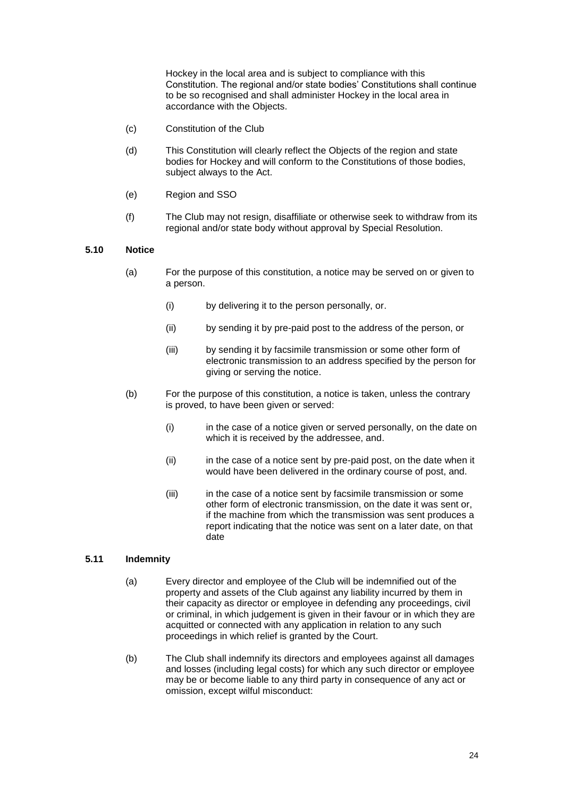Hockey in the local area and is subject to compliance with this Constitution. The regional and/or state bodies' Constitutions shall continue to be so recognised and shall administer Hockey in the local area in accordance with the Objects.

- (c) Constitution of the Club
- (d) This Constitution will clearly reflect the Objects of the region and state bodies for Hockey and will conform to the Constitutions of those bodies, subject always to the Act.
- (e) Region and SSO
- (f) The Club may not resign, disaffiliate or otherwise seek to withdraw from its regional and/or state body without approval by Special Resolution.

#### <span id="page-23-0"></span>**5.10 Notice**

- (a) For the purpose of this constitution, a notice may be served on or given to a person.
	- (i) by delivering it to the person personally, or.
	- (ii) by sending it by pre-paid post to the address of the person, or
	- (iii) by sending it by facsimile transmission or some other form of electronic transmission to an address specified by the person for giving or serving the notice.
- (b) For the purpose of this constitution, a notice is taken, unless the contrary is proved, to have been given or served:
	- (i) in the case of a notice given or served personally, on the date on which it is received by the addressee, and.
	- (ii) in the case of a notice sent by pre-paid post, on the date when it would have been delivered in the ordinary course of post, and.
	- (iii) in the case of a notice sent by facsimile transmission or some other form of electronic transmission, on the date it was sent or, if the machine from which the transmission was sent produces a report indicating that the notice was sent on a later date, on that date

#### <span id="page-23-1"></span>**5.11 Indemnity**

- (a) Every director and employee of the Club will be indemnified out of the property and assets of the Club against any liability incurred by them in their capacity as director or employee in defending any proceedings, civil or criminal, in which judgement is given in their favour or in which they are acquitted or connected with any application in relation to any such proceedings in which relief is granted by the Court.
- (b) The Club shall indemnify its directors and employees against all damages and losses (including legal costs) for which any such director or employee may be or become liable to any third party in consequence of any act or omission, except wilful misconduct: